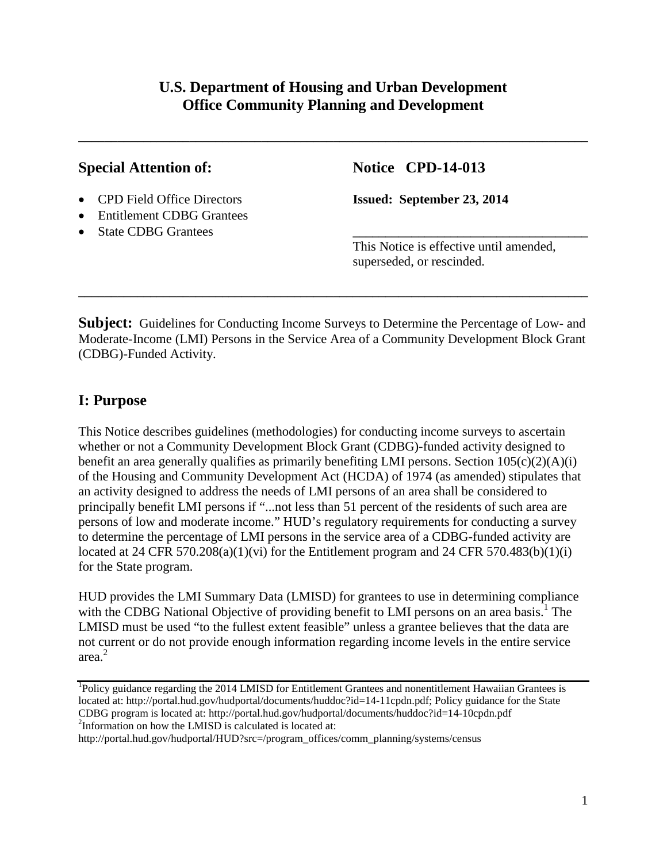# **U.S. Department of Housing and Urban Development Office Community Planning and Development**

**\_\_\_\_\_\_\_\_\_\_\_\_\_\_\_\_\_\_\_\_\_\_\_\_\_\_\_\_\_\_\_\_\_\_\_\_\_\_\_\_\_\_\_\_\_\_\_\_\_\_\_\_\_\_\_\_\_\_\_\_\_\_\_\_\_\_\_\_\_\_\_\_\_\_\_\_\_\_**

## **Special Attention of: Notice CPD-14-013**

- CPD Field Office Directors **Issued: September 23, 2014**
- Entitlement CDBG Grantees
- State CDBG Grantees

This Notice is effective until amended, superseded, or rescinded.

**Subject:** Guidelines for Conducting Income Surveys to Determine the Percentage of Low- and Moderate-Income (LMI) Persons in the Service Area of a Community Development Block Grant (CDBG)-Funded Activity.

**\_\_\_\_\_\_\_\_\_\_\_\_\_\_\_\_\_\_\_\_\_\_\_\_\_\_\_\_\_\_\_\_\_\_\_\_\_\_\_\_\_\_\_\_\_\_\_\_\_\_\_\_\_\_\_\_\_\_\_\_\_\_\_\_\_\_\_\_\_\_\_\_\_\_\_\_\_\_**

# **I: Purpose**

This Notice describes guidelines (methodologies) for conducting income surveys to ascertain whether or not a Community Development Block Grant (CDBG)-funded activity designed to benefit an area generally qualifies as primarily benefiting LMI persons. Section  $105(c)(2)(A)(i)$ of the Housing and Community Development Act (HCDA) of 1974 (as amended) stipulates that an activity designed to address the needs of LMI persons of an area shall be considered to principally benefit LMI persons if "...not less than 51 percent of the residents of such area are persons of low and moderate income." HUD's regulatory requirements for conducting a survey to determine the percentage of LMI persons in the service area of a CDBG-funded activity are located at 24 CFR 570.208(a)(1)(vi) for the Entitlement program and 24 CFR 570.483(b)(1)(i) for the State program.

HUD provides the LMI Summary Data (LMISD) for grantees to use in determining compliance with the CDBG National Objective of providing benefit to LMI persons on an area basis.<sup>1</sup> The LMISD must be used "to the fullest extent feasible" unless a grantee believes that the data are not current or do not provide enough information regarding income levels in the entire service area. 2

<sup>&</sup>lt;sup>1</sup>Policy guidance regarding the 2014 LMISD for Entitlement Grantees and nonentitlement Hawaiian Grantees is located at: http://portal.hud.gov/hudportal/documents/huddoc?id=14-11cpdn.pdf; Policy guidance for the State CDBG program is located at: http://portal.hud.gov/hudportal/documents/huddoc?id=14-10cpdn.pdf 2 Information on how the LMISD is calculated is located at:

http://portal.hud.gov/hudportal/HUD?src=/program\_offices/comm\_planning/systems/census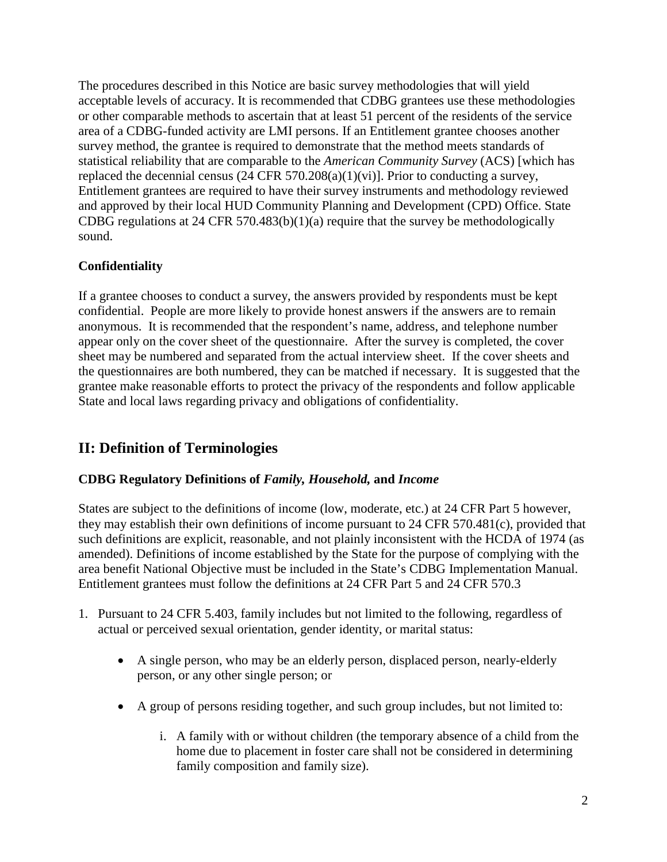The procedures described in this Notice are basic survey methodologies that will yield acceptable levels of accuracy. It is recommended that CDBG grantees use these methodologies or other comparable methods to ascertain that at least 51 percent of the residents of the service area of a CDBG-funded activity are LMI persons. If an Entitlement grantee chooses another survey method, the grantee is required to demonstrate that the method meets standards of statistical reliability that are comparable to the *American Community Survey* (ACS) [which has replaced the decennial census  $(24 \text{ CFR } 570.208(a)(1)(vi))$ . Prior to conducting a survey, Entitlement grantees are required to have their survey instruments and methodology reviewed and approved by their local HUD Community Planning and Development (CPD) Office. State CDBG regulations at 24 CFR 570.483(b)(1)(a) require that the survey be methodologically sound.

## **Confidentiality**

If a grantee chooses to conduct a survey, the answers provided by respondents must be kept confidential. People are more likely to provide honest answers if the answers are to remain anonymous. It is recommended that the respondent's name, address, and telephone number appear only on the cover sheet of the questionnaire. After the survey is completed, the cover sheet may be numbered and separated from the actual interview sheet. If the cover sheets and the questionnaires are both numbered, they can be matched if necessary. It is suggested that the grantee make reasonable efforts to protect the privacy of the respondents and follow applicable State and local laws regarding privacy and obligations of confidentiality.

# **II: Definition of Terminologies**

## **CDBG Regulatory Definitions of** *Family, Household,* **and** *Income*

States are subject to the definitions of income (low, moderate, etc.) at 24 CFR Part 5 however, they may establish their own definitions of income pursuant to 24 CFR 570.481(c), provided that such definitions are explicit, reasonable, and not plainly inconsistent with the HCDA of 1974 (as amended). Definitions of income established by the State for the purpose of complying with the area benefit National Objective must be included in the State's CDBG Implementation Manual. Entitlement grantees must follow the definitions at 24 CFR Part 5 and 24 CFR 570.3

- 1. Pursuant to 24 CFR 5.403, family includes but not limited to the following, regardless of actual or perceived sexual orientation, gender identity, or marital status:
	- A single person, who may be an elderly person, displaced person, nearly-elderly person, or any other single person; or
	- A group of persons residing together, and such group includes, but not limited to:
		- i. A family with or without children (the temporary absence of a child from the home due to placement in foster care shall not be considered in determining family composition and family size).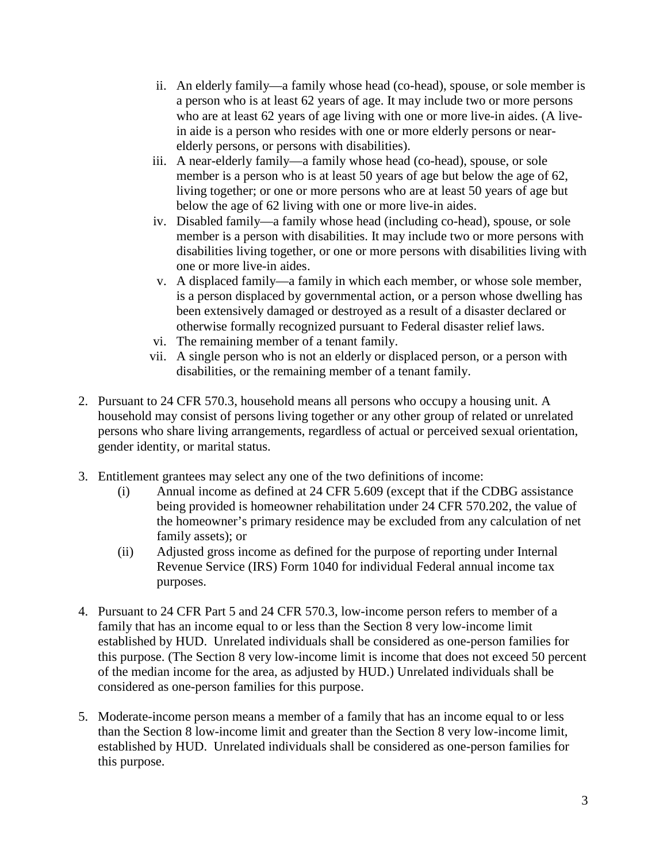- ii. An elderly family—a family whose head (co-head), spouse, or sole member is a person who is at least 62 years of age. It may include two or more persons who are at least 62 years of age living with one or more live-in aides. (A livein aide is a person who resides with one or more elderly persons or nearelderly persons, or persons with disabilities).
- iii. A near-elderly family—a family whose head (co-head), spouse, or sole member is a person who is at least 50 years of age but below the age of 62, living together; or one or more persons who are at least 50 years of age but below the age of 62 living with one or more live-in aides.
- iv. Disabled family—a family whose head (including co-head), spouse, or sole member is a person with disabilities. It may include two or more persons with disabilities living together, or one or more persons with disabilities living with one or more live-in aides.
- v. A displaced family—a family in which each member, or whose sole member, is a person displaced by governmental action, or a person whose dwelling has been extensively damaged or destroyed as a result of a disaster declared or otherwise formally recognized pursuant to Federal disaster relief laws.
- vi. The remaining member of a tenant family.
- vii. A single person who is not an elderly or displaced person, or a person with disabilities, or the remaining member of a tenant family.
- 2. Pursuant to 24 CFR 570.3, household means all persons who occupy a housing unit. A household may consist of persons living together or any other group of related or unrelated persons who share living arrangements, regardless of actual or perceived sexual orientation, gender identity, or marital status.
- 3. Entitlement grantees may select any one of the two definitions of income:
	- (i) Annual income as defined at 24 CFR 5.609 (except that if the CDBG assistance being provided is homeowner rehabilitation under 24 CFR 570.202, the value of the homeowner's primary residence may be excluded from any calculation of net family assets); or
	- (ii) Adjusted gross income as defined for the purpose of reporting under Internal Revenue Service (IRS) Form 1040 for individual Federal annual income tax purposes.
- 4. Pursuant to 24 CFR Part 5 and 24 CFR 570.3, low-income person refers to member of a family that has an income equal to or less than the Section 8 very low-income limit established by HUD. Unrelated individuals shall be considered as one-person families for this purpose. (The Section 8 very low-income limit is income that does not exceed 50 percent of the median income for the area, as adjusted by HUD.) Unrelated individuals shall be considered as one-person families for this purpose.
- 5. Moderate-income person means a member of a family that has an income equal to or less than the Section 8 low-income limit and greater than the Section 8 very low-income limit, established by HUD. Unrelated individuals shall be considered as one-person families for this purpose.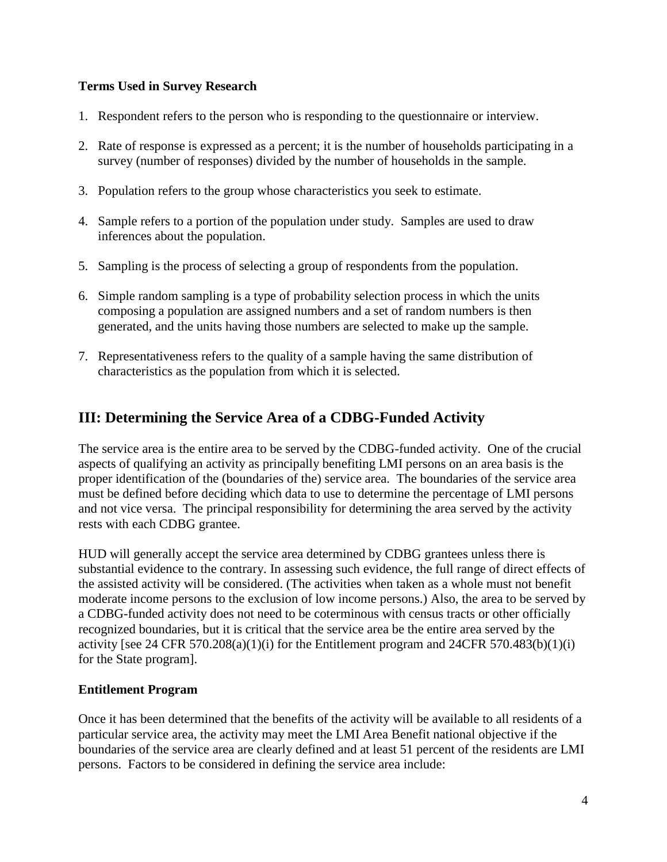## **Terms Used in Survey Research**

- 1. Respondent refers to the person who is responding to the questionnaire or interview.
- 2. Rate of response is expressed as a percent; it is the number of households participating in a survey (number of responses) divided by the number of households in the sample.
- 3. Population refers to the group whose characteristics you seek to estimate.
- 4. Sample refers to a portion of the population under study. Samples are used to draw inferences about the population.
- 5. Sampling is the process of selecting a group of respondents from the population.
- 6. Simple random sampling is a type of probability selection process in which the units composing a population are assigned numbers and a set of random numbers is then generated, and the units having those numbers are selected to make up the sample.
- 7. Representativeness refers to the quality of a sample having the same distribution of characteristics as the population from which it is selected.

# **III: Determining the Service Area of a CDBG-Funded Activity**

The service area is the entire area to be served by the CDBG-funded activity. One of the crucial aspects of qualifying an activity as principally benefiting LMI persons on an area basis is the proper identification of the (boundaries of the) service area. The boundaries of the service area must be defined before deciding which data to use to determine the percentage of LMI persons and not vice versa. The principal responsibility for determining the area served by the activity rests with each CDBG grantee.

HUD will generally accept the service area determined by CDBG grantees unless there is substantial evidence to the contrary. In assessing such evidence, the full range of direct effects of the assisted activity will be considered. (The activities when taken as a whole must not benefit moderate income persons to the exclusion of low income persons.) Also, the area to be served by a CDBG-funded activity does not need to be coterminous with census tracts or other officially recognized boundaries, but it is critical that the service area be the entire area served by the activity [see 24 CFR 570.208(a)(1)(i) for the Entitlement program and 24 CFR 570.483(b)(1)(i) for the State program].

## **Entitlement Program**

Once it has been determined that the benefits of the activity will be available to all residents of a particular service area, the activity may meet the LMI Area Benefit national objective if the boundaries of the service area are clearly defined and at least 51 percent of the residents are LMI persons. Factors to be considered in defining the service area include: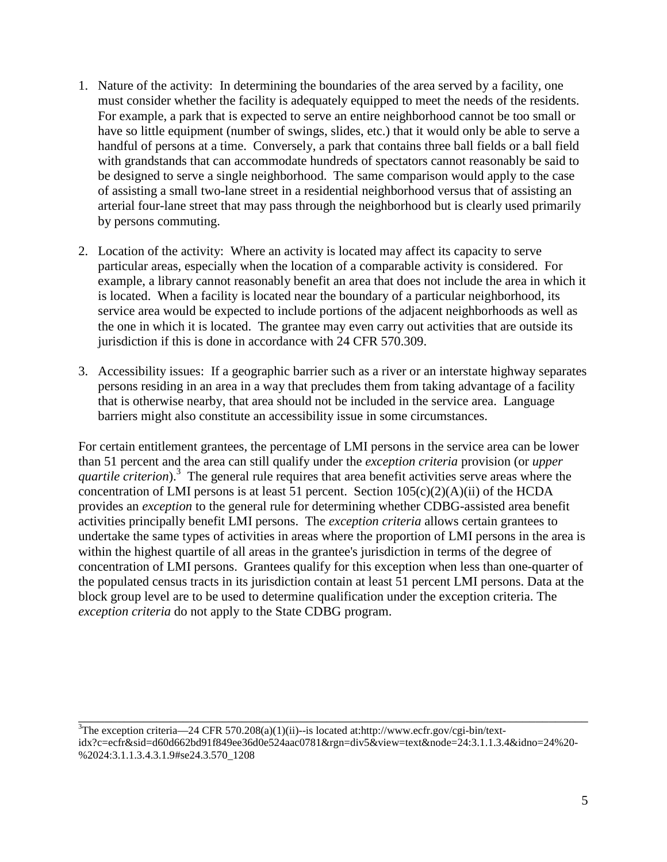- 1. Nature of the activity: In determining the boundaries of the area served by a facility, one must consider whether the facility is adequately equipped to meet the needs of the residents. For example, a park that is expected to serve an entire neighborhood cannot be too small or have so little equipment (number of swings, slides, etc.) that it would only be able to serve a handful of persons at a time. Conversely, a park that contains three ball fields or a ball field with grandstands that can accommodate hundreds of spectators cannot reasonably be said to be designed to serve a single neighborhood. The same comparison would apply to the case of assisting a small two-lane street in a residential neighborhood versus that of assisting an arterial four-lane street that may pass through the neighborhood but is clearly used primarily by persons commuting.
- 2. Location of the activity: Where an activity is located may affect its capacity to serve particular areas, especially when the location of a comparable activity is considered. For example, a library cannot reasonably benefit an area that does not include the area in which it is located. When a facility is located near the boundary of a particular neighborhood, its service area would be expected to include portions of the adjacent neighborhoods as well as the one in which it is located. The grantee may even carry out activities that are outside its jurisdiction if this is done in accordance with 24 CFR 570.309.
- 3. Accessibility issues: If a geographic barrier such as a river or an interstate highway separates persons residing in an area in a way that precludes them from taking advantage of a facility that is otherwise nearby, that area should not be included in the service area. Language barriers might also constitute an accessibility issue in some circumstances.

For certain entitlement grantees, the percentage of LMI persons in the service area can be lower than 51 percent and the area can still qualify under the *exception criteria* provision (or *upper* quartile criterion).<sup>3</sup> The general rule requires that area benefit activities serve areas where the concentration of LMI persons is at least 51 percent. Section  $105(c)(2)(A)(ii)$  of the HCDA provides an *exception* to the general rule for determining whether CDBG-assisted area benefit activities principally benefit LMI persons. The *exception criteria* allows certain grantees to undertake the same types of activities in areas where the proportion of LMI persons in the area is within the highest quartile of all areas in the grantee's jurisdiction in terms of the degree of concentration of LMI persons. Grantees qualify for this exception when less than one-quarter of the populated census tracts in its jurisdiction contain at least 51 percent LMI persons. Data at the block group level are to be used to determine qualification under the exception criteria. The *exception criteria* do not apply to the State CDBG program.

 $3$ The exception criteria—24 CFR 570.208(a)(1)(ii)--is located at:http://www.ecfr.gov/cgi-bin/textidx?c=ecfr&sid=d60d662bd91f849ee36d0e524aac0781&rgn=div5&view=text&node=24:3.1.1.3.4&idno=24%20- %2024:3.1.1.3.4.3.1.9#se24.3.570\_1208

\_\_\_\_\_\_\_\_\_\_\_\_\_\_\_\_\_\_\_\_\_\_\_\_\_\_\_\_\_\_\_\_\_\_\_\_\_\_\_\_\_\_\_\_\_\_\_\_\_\_\_\_\_\_\_\_\_\_\_\_\_\_\_\_\_\_\_\_\_\_\_\_\_\_\_\_\_\_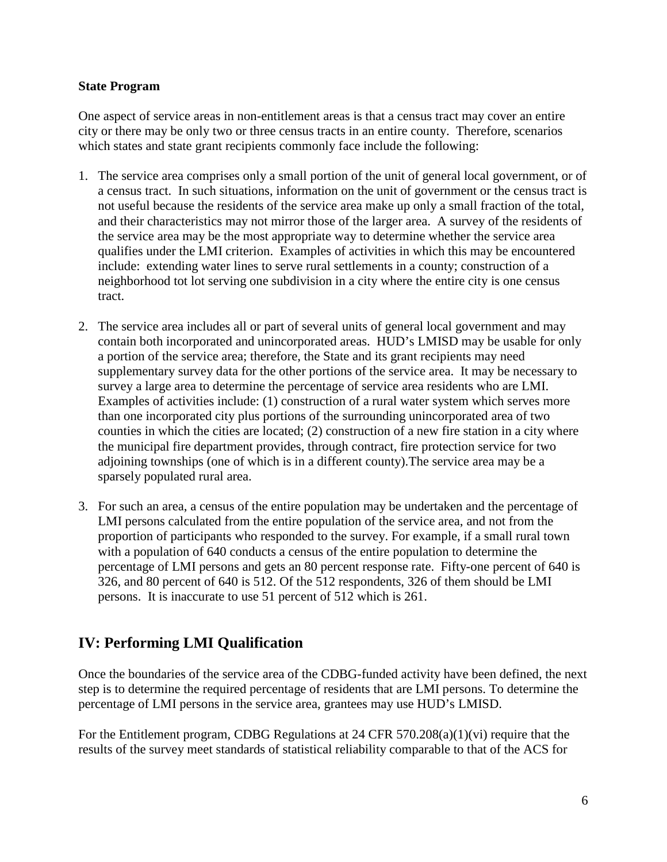#### **State Program**

One aspect of service areas in non-entitlement areas is that a census tract may cover an entire city or there may be only two or three census tracts in an entire county. Therefore, scenarios which states and state grant recipients commonly face include the following:

- 1. The service area comprises only a small portion of the unit of general local government, or of a census tract. In such situations, information on the unit of government or the census tract is not useful because the residents of the service area make up only a small fraction of the total, and their characteristics may not mirror those of the larger area. A survey of the residents of the service area may be the most appropriate way to determine whether the service area qualifies under the LMI criterion. Examples of activities in which this may be encountered include: extending water lines to serve rural settlements in a county; construction of a neighborhood tot lot serving one subdivision in a city where the entire city is one census tract.
- 2. The service area includes all or part of several units of general local government and may contain both incorporated and unincorporated areas. HUD's LMISD may be usable for only a portion of the service area; therefore, the State and its grant recipients may need supplementary survey data for the other portions of the service area. It may be necessary to survey a large area to determine the percentage of service area residents who are LMI. Examples of activities include: (1) construction of a rural water system which serves more than one incorporated city plus portions of the surrounding unincorporated area of two counties in which the cities are located; (2) construction of a new fire station in a city where the municipal fire department provides, through contract, fire protection service for two adjoining townships (one of which is in a different county).The service area may be a sparsely populated rural area.
- 3. For such an area, a census of the entire population may be undertaken and the percentage of LMI persons calculated from the entire population of the service area, and not from the proportion of participants who responded to the survey. For example, if a small rural town with a population of 640 conducts a census of the entire population to determine the percentage of LMI persons and gets an 80 percent response rate. Fifty-one percent of 640 is 326, and 80 percent of 640 is 512. Of the 512 respondents, 326 of them should be LMI persons. It is inaccurate to use 51 percent of 512 which is 261.

# **IV: Performing LMI Qualification**

Once the boundaries of the service area of the CDBG-funded activity have been defined, the next step is to determine the required percentage of residents that are LMI persons. To determine the percentage of LMI persons in the service area, grantees may use HUD's LMISD.

For the Entitlement program, CDBG Regulations at 24 CFR 570.208(a)(1)(vi) require that the results of the survey meet standards of statistical reliability comparable to that of the ACS for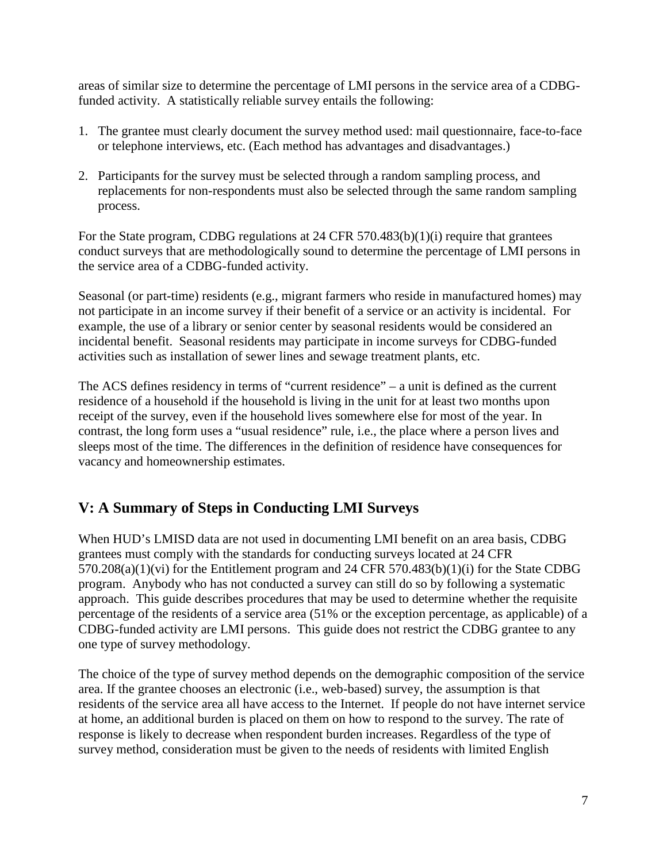areas of similar size to determine the percentage of LMI persons in the service area of a CDBGfunded activity. A statistically reliable survey entails the following:

- 1. The grantee must clearly document the survey method used: mail questionnaire, face-to-face or telephone interviews, etc. (Each method has advantages and disadvantages.)
- 2. Participants for the survey must be selected through a random sampling process, and replacements for non-respondents must also be selected through the same random sampling process.

For the State program, CDBG regulations at 24 CFR 570.483(b)(1)(i) require that grantees conduct surveys that are methodologically sound to determine the percentage of LMI persons in the service area of a CDBG-funded activity.

Seasonal (or part-time) residents (e.g., migrant farmers who reside in manufactured homes) may not participate in an income survey if their benefit of a service or an activity is incidental. For example, the use of a library or senior center by seasonal residents would be considered an incidental benefit. Seasonal residents may participate in income surveys for CDBG-funded activities such as installation of sewer lines and sewage treatment plants, etc.

The ACS defines residency in terms of "current residence" – a unit is defined as the current residence of a household if the household is living in the unit for at least two months upon receipt of the survey, even if the household lives somewhere else for most of the year. In contrast, the long form uses a "usual residence" rule, i.e., the place where a person lives and sleeps most of the time. The differences in the definition of residence have consequences for vacancy and homeownership estimates.

# **V: A Summary of Steps in Conducting LMI Surveys**

When HUD's LMISD data are not used in documenting LMI benefit on an area basis, CDBG grantees must comply with the standards for conducting surveys located at 24 CFR 570.208(a)(1)(vi) for the Entitlement program and 24 CFR 570.483(b)(1)(i) for the State CDBG program. Anybody who has not conducted a survey can still do so by following a systematic approach. This guide describes procedures that may be used to determine whether the requisite percentage of the residents of a service area (51% or the exception percentage, as applicable) of a CDBG-funded activity are LMI persons. This guide does not restrict the CDBG grantee to any one type of survey methodology.

The choice of the type of survey method depends on the demographic composition of the service area. If the grantee chooses an electronic (i.e., web-based) survey, the assumption is that residents of the service area all have access to the Internet. If people do not have internet service at home, an additional burden is placed on them on how to respond to the survey. The rate of response is likely to decrease when respondent burden increases. Regardless of the type of survey method, consideration must be given to the needs of residents with limited English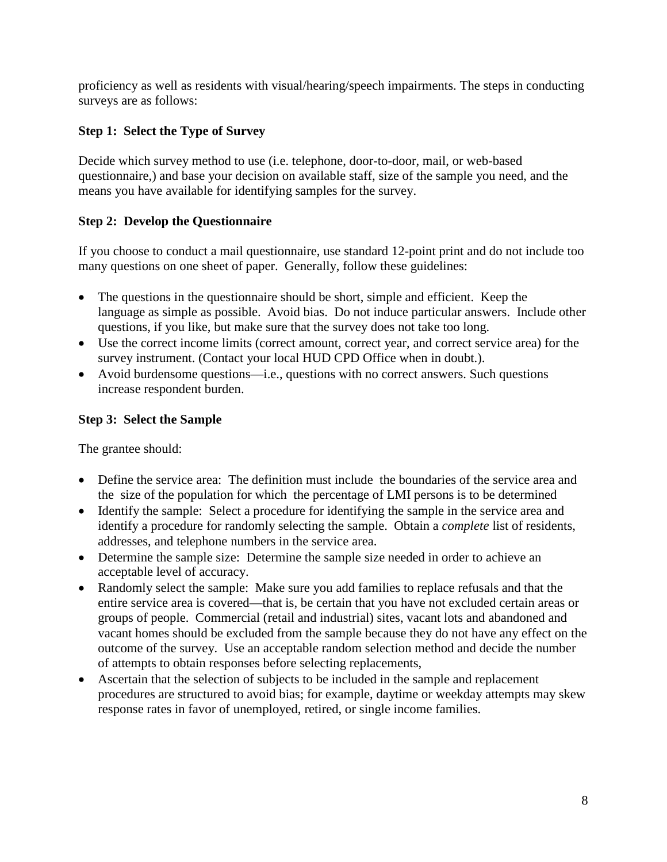proficiency as well as residents with visual/hearing/speech impairments. The steps in conducting surveys are as follows:

## **Step 1: Select the Type of Survey**

Decide which survey method to use (i.e. telephone, door-to-door, mail, or web-based questionnaire,) and base your decision on available staff, size of the sample you need, and the means you have available for identifying samples for the survey.

## **Step 2: Develop the Questionnaire**

If you choose to conduct a mail questionnaire, use standard 12-point print and do not include too many questions on one sheet of paper. Generally, follow these guidelines:

- The questions in the questionnaire should be short, simple and efficient. Keep the language as simple as possible. Avoid bias. Do not induce particular answers. Include other questions, if you like, but make sure that the survey does not take too long.
- Use the correct income limits (correct amount, correct year, and correct service area) for the survey instrument. (Contact your local HUD CPD Office when in doubt.).
- Avoid burdensome questions—i.e., questions with no correct answers. Such questions increase respondent burden.

## **Step 3: Select the Sample**

The grantee should:

- Define the service area: The definition must include the boundaries of the service area and the size of the population for which the percentage of LMI persons is to be determined
- Identify the sample: Select a procedure for identifying the sample in the service area and identify a procedure for randomly selecting the sample. Obtain a *complete* list of residents, addresses, and telephone numbers in the service area.
- Determine the sample size: Determine the sample size needed in order to achieve an acceptable level of accuracy.
- Randomly select the sample: Make sure you add families to replace refusals and that the entire service area is covered—that is, be certain that you have not excluded certain areas or groups of people. Commercial (retail and industrial) sites, vacant lots and abandoned and vacant homes should be excluded from the sample because they do not have any effect on the outcome of the survey. Use an acceptable random selection method and decide the number of attempts to obtain responses before selecting replacements,
- Ascertain that the selection of subjects to be included in the sample and replacement procedures are structured to avoid bias; for example, daytime or weekday attempts may skew response rates in favor of unemployed, retired, or single income families.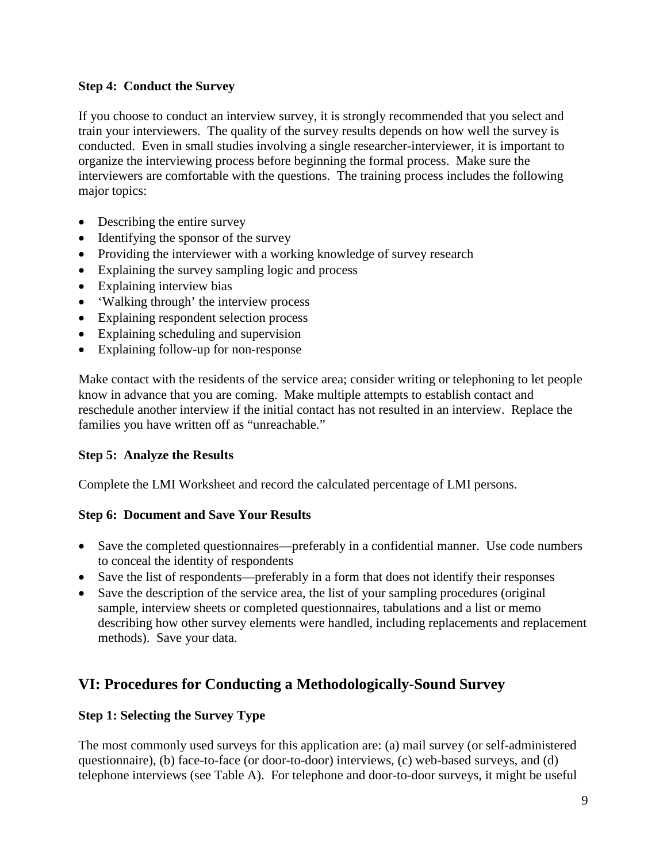## **Step 4: Conduct the Survey**

If you choose to conduct an interview survey, it is strongly recommended that you select and train your interviewers. The quality of the survey results depends on how well the survey is conducted. Even in small studies involving a single researcher-interviewer, it is important to organize the interviewing process before beginning the formal process. Make sure the interviewers are comfortable with the questions. The training process includes the following major topics:

- Describing the entire survey
- Identifying the sponsor of the survey
- Providing the interviewer with a working knowledge of survey research
- Explaining the survey sampling logic and process
- Explaining interview bias
- 'Walking through' the interview process
- Explaining respondent selection process
- Explaining scheduling and supervision
- Explaining follow-up for non-response

Make contact with the residents of the service area; consider writing or telephoning to let people know in advance that you are coming. Make multiple attempts to establish contact and reschedule another interview if the initial contact has not resulted in an interview. Replace the families you have written off as "unreachable."

## **Step 5: Analyze the Results**

Complete the LMI Worksheet and record the calculated percentage of LMI persons.

## **Step 6: Document and Save Your Results**

- Save the completed questionnaires—preferably in a confidential manner. Use code numbers to conceal the identity of respondents
- Save the list of respondents—preferably in a form that does not identify their responses
- Save the description of the service area, the list of your sampling procedures (original sample, interview sheets or completed questionnaires, tabulations and a list or memo describing how other survey elements were handled, including replacements and replacement methods). Save your data.

# **VI: Procedures for Conducting a Methodologically-Sound Survey**

## **Step 1: Selecting the Survey Type**

The most commonly used surveys for this application are: (a) mail survey (or self-administered questionnaire), (b) face-to-face (or door-to-door) interviews, (c) web-based surveys, and (d) telephone interviews (see Table A). For telephone and door-to-door surveys, it might be useful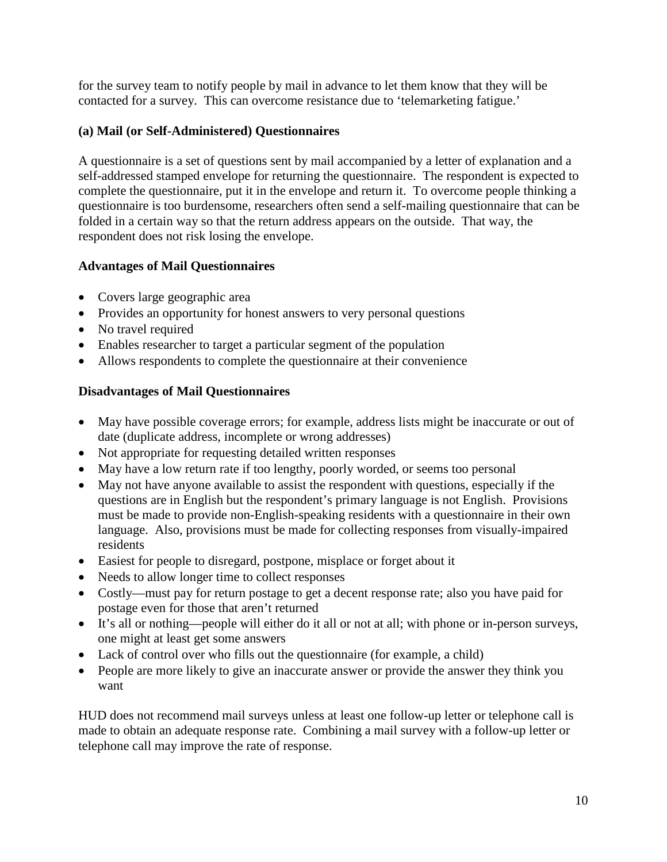for the survey team to notify people by mail in advance to let them know that they will be contacted for a survey. This can overcome resistance due to 'telemarketing fatigue.'

## **(a) Mail (or Self-Administered) Questionnaires**

A questionnaire is a set of questions sent by mail accompanied by a letter of explanation and a self-addressed stamped envelope for returning the questionnaire. The respondent is expected to complete the questionnaire, put it in the envelope and return it. To overcome people thinking a questionnaire is too burdensome, researchers often send a self-mailing questionnaire that can be folded in a certain way so that the return address appears on the outside. That way, the respondent does not risk losing the envelope.

## **Advantages of Mail Questionnaires**

- Covers large geographic area
- Provides an opportunity for honest answers to very personal questions
- No travel required
- Enables researcher to target a particular segment of the population
- Allows respondents to complete the questionnaire at their convenience

## **Disadvantages of Mail Questionnaires**

- May have possible coverage errors; for example, address lists might be inaccurate or out of date (duplicate address, incomplete or wrong addresses)
- Not appropriate for requesting detailed written responses
- May have a low return rate if too lengthy, poorly worded, or seems too personal
- May not have anyone available to assist the respondent with questions, especially if the questions are in English but the respondent's primary language is not English. Provisions must be made to provide non-English-speaking residents with a questionnaire in their own language. Also, provisions must be made for collecting responses from visually-impaired residents
- Easiest for people to disregard, postpone, misplace or forget about it
- Needs to allow longer time to collect responses
- Costly—must pay for return postage to get a decent response rate; also you have paid for postage even for those that aren't returned
- It's all or nothing—people will either do it all or not at all; with phone or in-person surveys, one might at least get some answers
- Lack of control over who fills out the questionnaire (for example, a child)
- People are more likely to give an inaccurate answer or provide the answer they think you want

HUD does not recommend mail surveys unless at least one follow-up letter or telephone call is made to obtain an adequate response rate. Combining a mail survey with a follow-up letter or telephone call may improve the rate of response.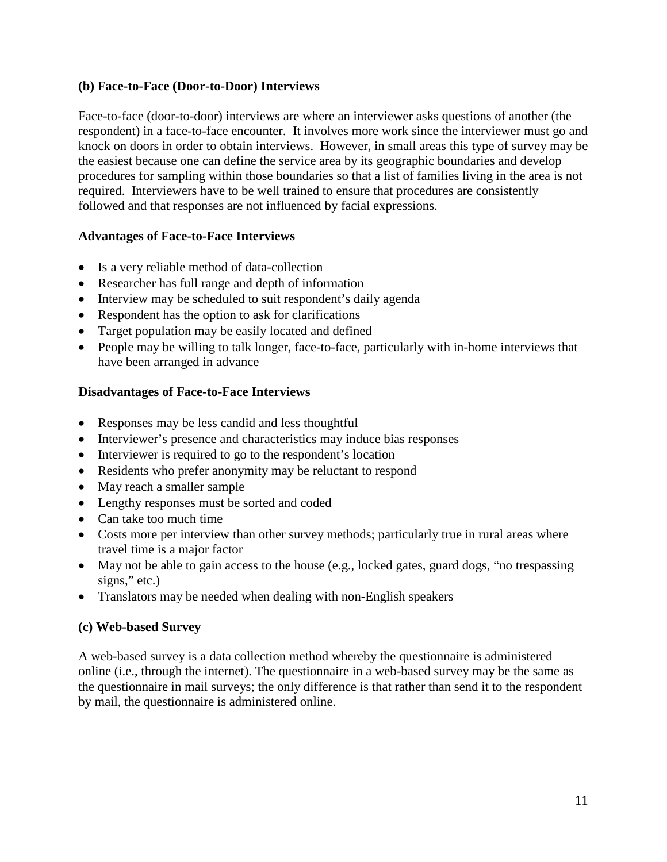#### **(b) Face-to-Face (Door-to-Door) Interviews**

Face-to-face (door-to-door) interviews are where an interviewer asks questions of another (the respondent) in a face-to-face encounter. It involves more work since the interviewer must go and knock on doors in order to obtain interviews. However, in small areas this type of survey may be the easiest because one can define the service area by its geographic boundaries and develop procedures for sampling within those boundaries so that a list of families living in the area is not required. Interviewers have to be well trained to ensure that procedures are consistently followed and that responses are not influenced by facial expressions.

## **Advantages of Face-to-Face Interviews**

- Is a very reliable method of data-collection
- Researcher has full range and depth of information
- Interview may be scheduled to suit respondent's daily agenda
- Respondent has the option to ask for clarifications
- Target population may be easily located and defined
- People may be willing to talk longer, face-to-face, particularly with in-home interviews that have been arranged in advance

## **Disadvantages of Face-to-Face Interviews**

- Responses may be less candid and less thoughtful
- Interviewer's presence and characteristics may induce bias responses
- Interviewer is required to go to the respondent's location
- Residents who prefer anonymity may be reluctant to respond
- May reach a smaller sample
- Lengthy responses must be sorted and coded
- Can take too much time
- Costs more per interview than other survey methods; particularly true in rural areas where travel time is a major factor
- May not be able to gain access to the house (e.g., locked gates, guard dogs, "no trespassing signs," etc.)
- Translators may be needed when dealing with non-English speakers

## **(c) Web-based Survey**

A web-based survey is a data collection method whereby the questionnaire is administered online (i.e., through the internet). The questionnaire in a web-based survey may be the same as the questionnaire in mail surveys; the only difference is that rather than send it to the respondent by mail, the questionnaire is administered online.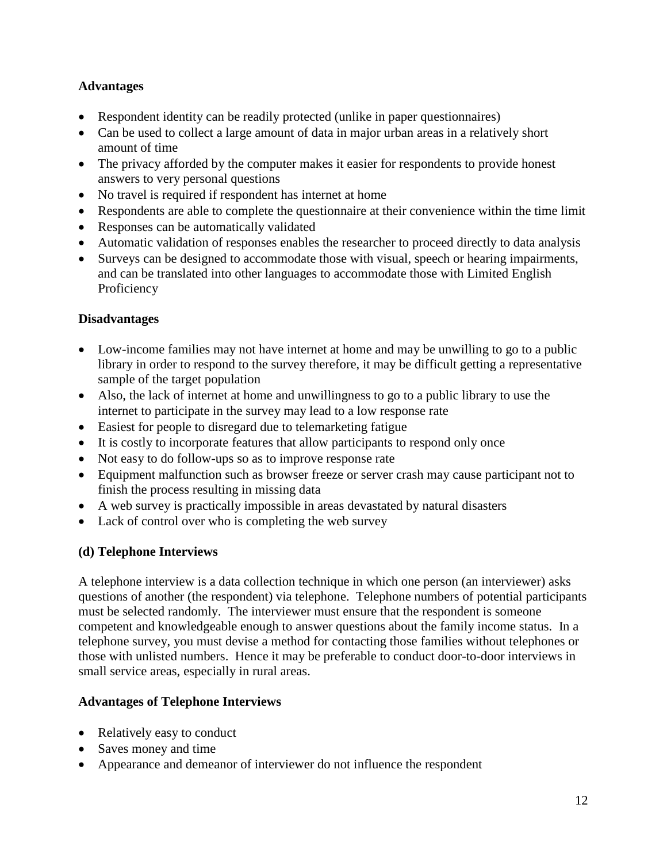## **Advantages**

- Respondent identity can be readily protected (unlike in paper questionnaires)
- Can be used to collect a large amount of data in major urban areas in a relatively short amount of time
- The privacy afforded by the computer makes it easier for respondents to provide honest answers to very personal questions
- No travel is required if respondent has internet at home
- Respondents are able to complete the questionnaire at their convenience within the time limit
- Responses can be automatically validated
- Automatic validation of responses enables the researcher to proceed directly to data analysis
- Surveys can be designed to accommodate those with visual, speech or hearing impairments, and can be translated into other languages to accommodate those with Limited English **Proficiency**

## **Disadvantages**

- Low-income families may not have internet at home and may be unwilling to go to a public library in order to respond to the survey therefore, it may be difficult getting a representative sample of the target population
- Also, the lack of internet at home and unwillingness to go to a public library to use the internet to participate in the survey may lead to a low response rate
- Easiest for people to disregard due to telemarketing fatigue
- It is costly to incorporate features that allow participants to respond only once
- Not easy to do follow-ups so as to improve response rate
- Equipment malfunction such as browser freeze or server crash may cause participant not to finish the process resulting in missing data
- A web survey is practically impossible in areas devastated by natural disasters
- Lack of control over who is completing the web survey

## **(d) Telephone Interviews**

A telephone interview is a data collection technique in which one person (an interviewer) asks questions of another (the respondent) via telephone. Telephone numbers of potential participants must be selected randomly. The interviewer must ensure that the respondent is someone competent and knowledgeable enough to answer questions about the family income status. In a telephone survey, you must devise a method for contacting those families without telephones or those with unlisted numbers. Hence it may be preferable to conduct door-to-door interviews in small service areas, especially in rural areas.

## **Advantages of Telephone Interviews**

- Relatively easy to conduct
- Saves money and time
- Appearance and demeanor of interviewer do not influence the respondent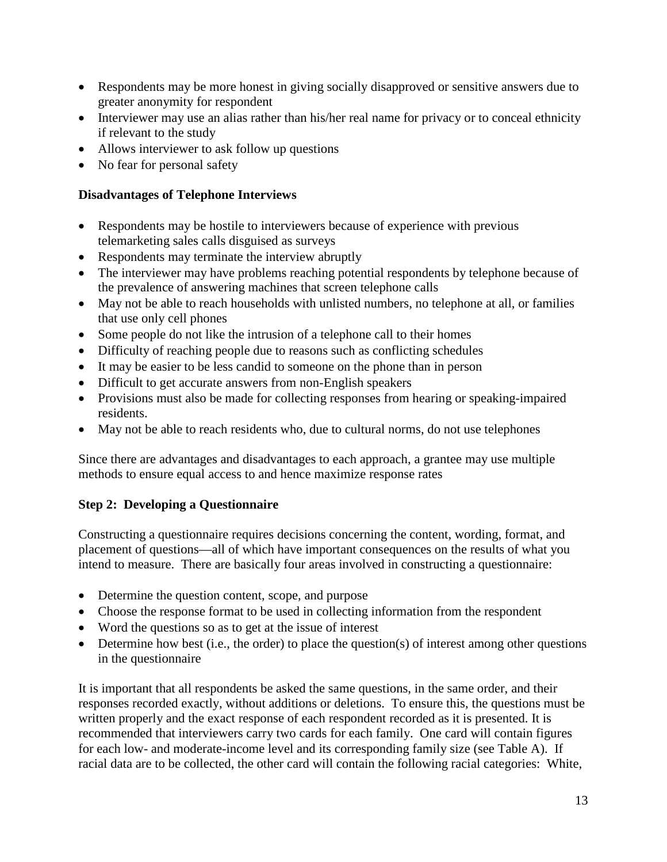- Respondents may be more honest in giving socially disapproved or sensitive answers due to greater anonymity for respondent
- Interviewer may use an alias rather than his/her real name for privacy or to conceal ethnicity if relevant to the study
- Allows interviewer to ask follow up questions
- No fear for personal safety

## **Disadvantages of Telephone Interviews**

- Respondents may be hostile to interviewers because of experience with previous telemarketing sales calls disguised as surveys
- Respondents may terminate the interview abruptly
- The interviewer may have problems reaching potential respondents by telephone because of the prevalence of answering machines that screen telephone calls
- May not be able to reach households with unlisted numbers, no telephone at all, or families that use only cell phones
- Some people do not like the intrusion of a telephone call to their homes
- Difficulty of reaching people due to reasons such as conflicting schedules
- It may be easier to be less candid to someone on the phone than in person
- Difficult to get accurate answers from non-English speakers
- Provisions must also be made for collecting responses from hearing or speaking-impaired residents.
- May not be able to reach residents who, due to cultural norms, do not use telephones

Since there are advantages and disadvantages to each approach, a grantee may use multiple methods to ensure equal access to and hence maximize response rates

## **Step 2: Developing a Questionnaire**

Constructing a questionnaire requires decisions concerning the content, wording, format, and placement of questions—all of which have important consequences on the results of what you intend to measure. There are basically four areas involved in constructing a questionnaire:

- Determine the question content, scope, and purpose
- Choose the response format to be used in collecting information from the respondent
- Word the questions so as to get at the issue of interest
- $\bullet$  Determine how best (i.e., the order) to place the question(s) of interest among other questions in the questionnaire

It is important that all respondents be asked the same questions, in the same order, and their responses recorded exactly, without additions or deletions. To ensure this, the questions must be written properly and the exact response of each respondent recorded as it is presented. It is recommended that interviewers carry two cards for each family. One card will contain figures for each low- and moderate-income level and its corresponding family size (see Table A). If racial data are to be collected, the other card will contain the following racial categories: White,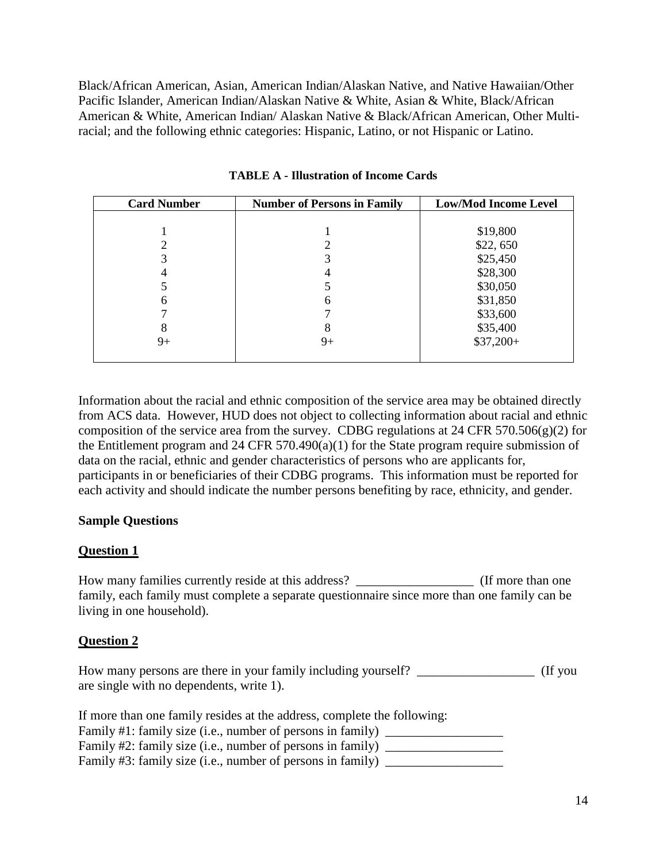Black/African American, Asian, American Indian/Alaskan Native, and Native Hawaiian/Other Pacific Islander, American Indian/Alaskan Native & White, Asian & White, Black/African American & White, American Indian/ Alaskan Native & Black/African American, Other Multiracial; and the following ethnic categories: Hispanic, Latino, or not Hispanic or Latino.

| <b>Card Number</b> | <b>Number of Persons in Family</b> | <b>Low/Mod Income Level</b> |
|--------------------|------------------------------------|-----------------------------|
|                    |                                    |                             |
|                    |                                    | \$19,800                    |
|                    |                                    | \$22,650                    |
|                    |                                    | \$25,450                    |
|                    |                                    | \$28,300                    |
|                    |                                    | \$30,050                    |
| n                  | h                                  | \$31,850                    |
|                    |                                    | \$33,600                    |
| 8                  | 8                                  | \$35,400                    |
| 9+                 | $9+$                               | $$37,200+$                  |
|                    |                                    |                             |

**TABLE A - Illustration of Income Cards**

Information about the racial and ethnic composition of the service area may be obtained directly from ACS data. However, HUD does not object to collecting information about racial and ethnic composition of the service area from the survey. CDBG regulations at 24 CFR 570.506(g)(2) for the Entitlement program and 24 CFR 570.490(a)(1) for the State program require submission of data on the racial, ethnic and gender characteristics of persons who are applicants for, participants in or beneficiaries of their CDBG programs. This information must be reported for each activity and should indicate the number persons benefiting by race, ethnicity, and gender.

## **Sample Questions**

## **Question 1**

How many families currently reside at this address? \_\_\_\_\_\_\_\_\_\_\_\_\_\_\_\_\_\_ (If more than one family, each family must complete a separate questionnaire since more than one family can be living in one household).

#### **Question 2**

How many persons are there in your family including yourself?  $\qquad \qquad$  (If you are single with no dependents, write 1).

If more than one family resides at the address, complete the following: Family  $#1$ : family size (i.e., number of persons in family)  $\qquad \qquad$ Family #2: family size (i.e., number of persons in family) \_\_\_\_\_\_\_\_\_\_\_\_\_\_\_\_\_\_\_\_\_ Family  $#3$ : family size (i.e., number of persons in family)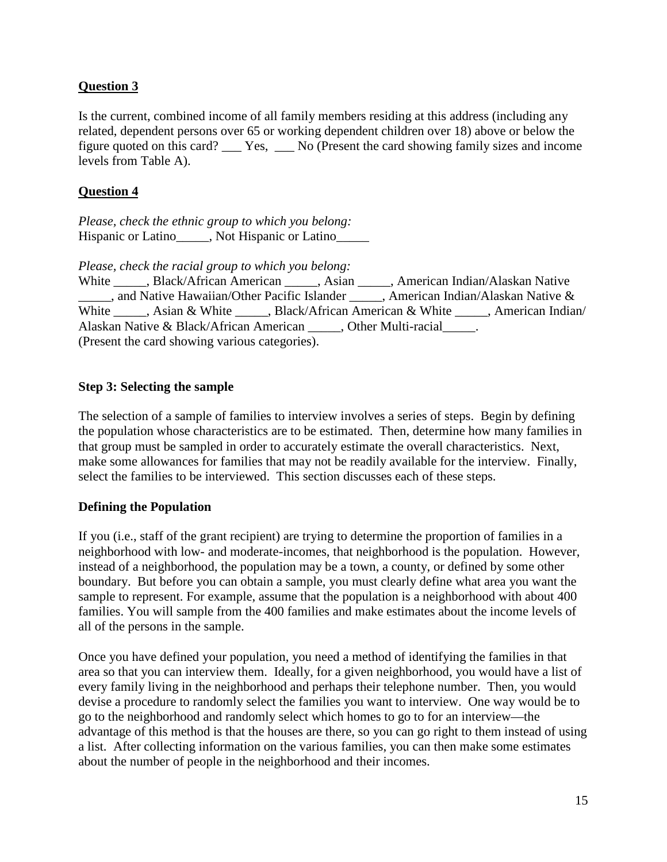## **Question 3**

Is the current, combined income of all family members residing at this address (including any related, dependent persons over 65 or working dependent children over 18) above or below the figure quoted on this card? \_\_\_ Yes, \_\_\_ No (Present the card showing family sizes and income levels from Table A).

#### **Question 4**

*Please, check the ethnic group to which you belong:* Hispanic or Latino\_\_\_\_\_, Not Hispanic or Latino\_\_\_\_\_\_

*Please, check the racial group to which you belong:*

White \_\_\_\_\_, Black/African American \_\_\_\_\_, Asian \_\_\_\_\_, American Indian/Alaskan Native and Native Hawaiian/Other Pacific Islander \_\_\_\_\_, American Indian/Alaskan Native & White \_\_\_\_\_, Asian & White \_\_\_\_\_, Black/African American & White \_\_\_\_\_, American Indian/ Alaskan Native & Black/African American \_\_\_\_\_, Other Multi-racial \_\_\_\_\_. (Present the card showing various categories).

#### **Step 3: Selecting the sample**

The selection of a sample of families to interview involves a series of steps. Begin by defining the population whose characteristics are to be estimated. Then, determine how many families in that group must be sampled in order to accurately estimate the overall characteristics. Next, make some allowances for families that may not be readily available for the interview. Finally, select the families to be interviewed. This section discusses each of these steps.

## **Defining the Population**

If you (i.e., staff of the grant recipient) are trying to determine the proportion of families in a neighborhood with low- and moderate-incomes, that neighborhood is the population. However, instead of a neighborhood, the population may be a town, a county, or defined by some other boundary. But before you can obtain a sample, you must clearly define what area you want the sample to represent. For example, assume that the population is a neighborhood with about 400 families. You will sample from the 400 families and make estimates about the income levels of all of the persons in the sample.

Once you have defined your population, you need a method of identifying the families in that area so that you can interview them. Ideally, for a given neighborhood, you would have a list of every family living in the neighborhood and perhaps their telephone number. Then, you would devise a procedure to randomly select the families you want to interview. One way would be to go to the neighborhood and randomly select which homes to go to for an interview—the advantage of this method is that the houses are there, so you can go right to them instead of using a list. After collecting information on the various families, you can then make some estimates about the number of people in the neighborhood and their incomes.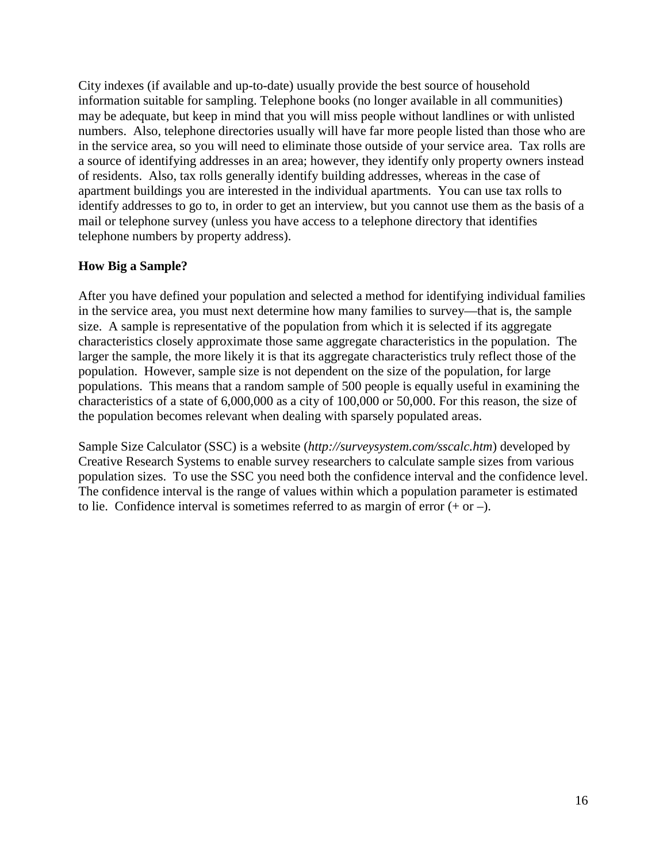City indexes (if available and up-to-date) usually provide the best source of household information suitable for sampling. Telephone books (no longer available in all communities) may be adequate, but keep in mind that you will miss people without landlines or with unlisted numbers. Also, telephone directories usually will have far more people listed than those who are in the service area, so you will need to eliminate those outside of your service area. Tax rolls are a source of identifying addresses in an area; however, they identify only property owners instead of residents. Also, tax rolls generally identify building addresses, whereas in the case of apartment buildings you are interested in the individual apartments. You can use tax rolls to identify addresses to go to, in order to get an interview, but you cannot use them as the basis of a mail or telephone survey (unless you have access to a telephone directory that identifies telephone numbers by property address).

#### **How Big a Sample?**

After you have defined your population and selected a method for identifying individual families in the service area, you must next determine how many families to survey—that is, the sample size. A sample is representative of the population from which it is selected if its aggregate characteristics closely approximate those same aggregate characteristics in the population. The larger the sample, the more likely it is that its aggregate characteristics truly reflect those of the population. However, sample size is not dependent on the size of the population, for large populations. This means that a random sample of 500 people is equally useful in examining the characteristics of a state of 6,000,000 as a city of 100,000 or 50,000. For this reason, the size of the population becomes relevant when dealing with sparsely populated areas.

Sample Size Calculator (SSC) is a website (*http://surveysystem.com/sscalc.htm*) developed by Creative Research Systems to enable survey researchers to calculate sample sizes from various population sizes. To use the SSC you need both the confidence interval and the confidence level. The confidence interval is the range of values within which a population parameter is estimated to lie. Confidence interval is sometimes referred to as margin of error  $(+ or -)$ .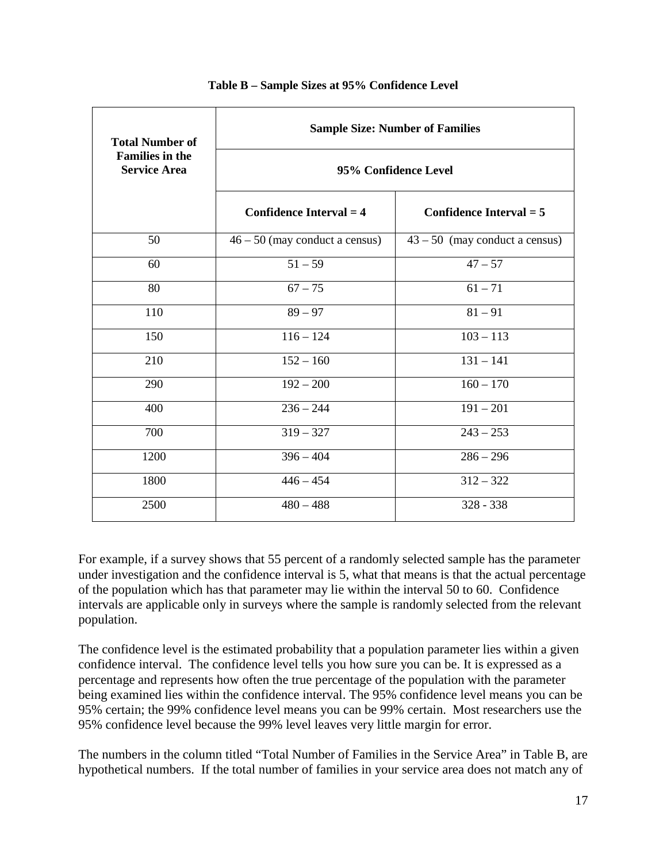| <b>Total Number of</b>                        | <b>Sample Size: Number of Families</b> |                                  |  |
|-----------------------------------------------|----------------------------------------|----------------------------------|--|
| <b>Families in the</b><br><b>Service Area</b> | 95% Confidence Level                   |                                  |  |
|                                               | Confidence Interval $=$ 4              | Confidence Interval $=$ 5        |  |
| 50                                            | $46 - 50$ (may conduct a census)       | $43 - 50$ (may conduct a census) |  |
| 60                                            | $51 - 59$                              | $47 - 57$                        |  |
| 80                                            | $67 - 75$                              | $61 - 71$                        |  |
| 110                                           | $89 - 97$                              | $81 - 91$                        |  |
| 150                                           | $116 - 124$                            | $103 - 113$                      |  |
| 210                                           | $152 - 160$                            | $131 - 141$                      |  |
| 290                                           | $192 - 200$                            | $160 - 170$                      |  |
| 400                                           | $236 - 244$                            | $191 - 201$                      |  |
| 700                                           | $319 - 327$                            | $243 - 253$                      |  |
| 1200                                          | $396 - 404$                            | $286 - 296$                      |  |
| 1800                                          | $446 - 454$                            | $312 - 322$                      |  |
| 2500                                          | $480 - 488$                            | $328 - 338$                      |  |

#### **Table B – Sample Sizes at 95% Confidence Level**

For example, if a survey shows that 55 percent of a randomly selected sample has the parameter under investigation and the confidence interval is 5, what that means is that the actual percentage of the population which has that parameter may lie within the interval 50 to 60. Confidence intervals are applicable only in surveys where the sample is randomly selected from the relevant population.

The confidence level is the estimated probability that a population parameter lies within a given confidence interval. The confidence level tells you how sure you can be. It is expressed as a percentage and represents how often the true percentage of the population with the parameter being examined lies within the confidence interval. The 95% confidence level means you can be 95% certain; the 99% confidence level means you can be 99% certain. Most researchers use the 95% confidence level because the 99% level leaves very little margin for error.

The numbers in the column titled "Total Number of Families in the Service Area" in Table B, are hypothetical numbers. If the total number of families in your service area does not match any of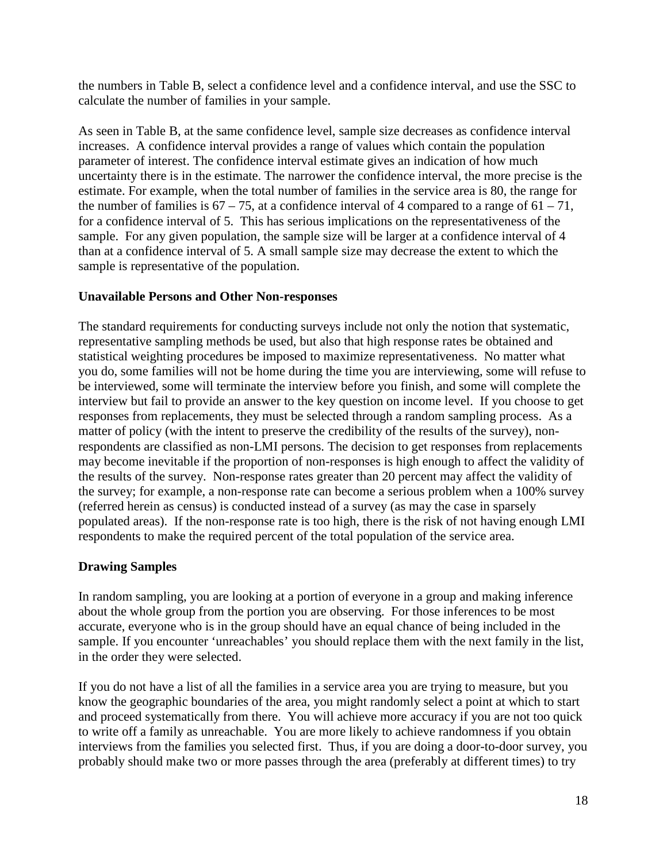the numbers in Table B, select a confidence level and a confidence interval, and use the SSC to calculate the number of families in your sample.

As seen in Table B, at the same confidence level, sample size decreases as confidence interval increases. A confidence interval provides a range of values which contain the population parameter of interest. The confidence interval estimate gives an indication of how much uncertainty there is in the estimate. The narrower the confidence interval, the more precise is the estimate. For example, when the total number of families in the service area is 80, the range for the number of families is  $67 - 75$ , at a confidence interval of 4 compared to a range of  $61 - 71$ , for a confidence interval of 5. This has serious implications on the representativeness of the sample. For any given population, the sample size will be larger at a confidence interval of 4 than at a confidence interval of 5. A small sample size may decrease the extent to which the sample is representative of the population.

## **Unavailable Persons and Other Non-responses**

The standard requirements for conducting surveys include not only the notion that systematic, representative sampling methods be used, but also that high response rates be obtained and statistical weighting procedures be imposed to maximize representativeness. No matter what you do, some families will not be home during the time you are interviewing, some will refuse to be interviewed, some will terminate the interview before you finish, and some will complete the interview but fail to provide an answer to the key question on income level. If you choose to get responses from replacements, they must be selected through a random sampling process. As a matter of policy (with the intent to preserve the credibility of the results of the survey), nonrespondents are classified as non-LMI persons. The decision to get responses from replacements may become inevitable if the proportion of non-responses is high enough to affect the validity of the results of the survey. Non-response rates greater than 20 percent may affect the validity of the survey; for example, a non-response rate can become a serious problem when a 100% survey (referred herein as census) is conducted instead of a survey (as may the case in sparsely populated areas). If the non-response rate is too high, there is the risk of not having enough LMI respondents to make the required percent of the total population of the service area.

## **Drawing Samples**

In random sampling, you are looking at a portion of everyone in a group and making inference about the whole group from the portion you are observing. For those inferences to be most accurate, everyone who is in the group should have an equal chance of being included in the sample. If you encounter 'unreachables' you should replace them with the next family in the list, in the order they were selected.

If you do not have a list of all the families in a service area you are trying to measure, but you know the geographic boundaries of the area, you might randomly select a point at which to start and proceed systematically from there. You will achieve more accuracy if you are not too quick to write off a family as unreachable. You are more likely to achieve randomness if you obtain interviews from the families you selected first. Thus, if you are doing a door-to-door survey, you probably should make two or more passes through the area (preferably at different times) to try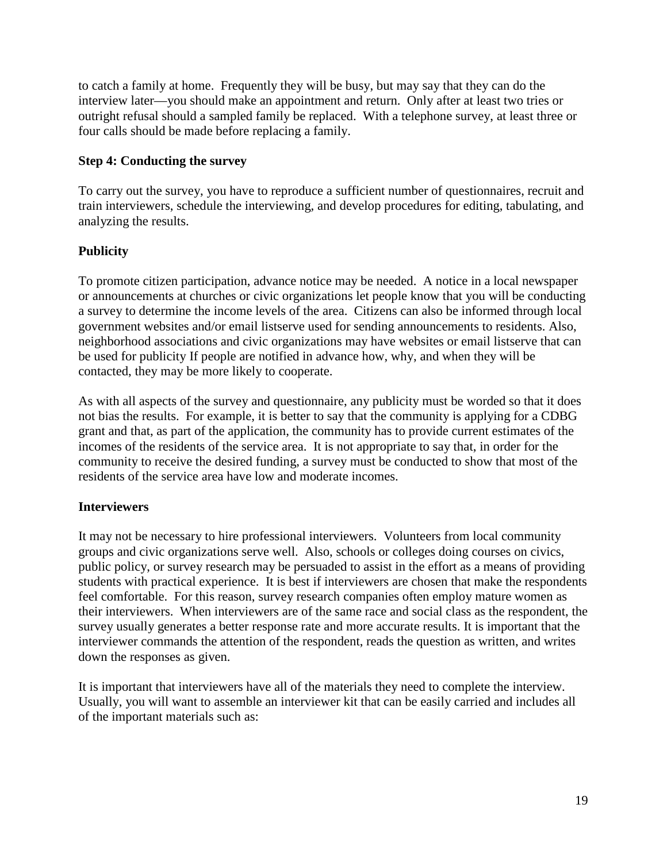to catch a family at home. Frequently they will be busy, but may say that they can do the interview later—you should make an appointment and return. Only after at least two tries or outright refusal should a sampled family be replaced. With a telephone survey, at least three or four calls should be made before replacing a family.

## **Step 4: Conducting the survey**

To carry out the survey, you have to reproduce a sufficient number of questionnaires, recruit and train interviewers, schedule the interviewing, and develop procedures for editing, tabulating, and analyzing the results.

## **Publicity**

To promote citizen participation, advance notice may be needed. A notice in a local newspaper or announcements at churches or civic organizations let people know that you will be conducting a survey to determine the income levels of the area. Citizens can also be informed through local government websites and/or email listserve used for sending announcements to residents. Also, neighborhood associations and civic organizations may have websites or email listserve that can be used for publicity If people are notified in advance how, why, and when they will be contacted, they may be more likely to cooperate.

As with all aspects of the survey and questionnaire, any publicity must be worded so that it does not bias the results. For example, it is better to say that the community is applying for a CDBG grant and that, as part of the application, the community has to provide current estimates of the incomes of the residents of the service area. It is not appropriate to say that, in order for the community to receive the desired funding, a survey must be conducted to show that most of the residents of the service area have low and moderate incomes.

## **Interviewers**

It may not be necessary to hire professional interviewers. Volunteers from local community groups and civic organizations serve well. Also, schools or colleges doing courses on civics, public policy, or survey research may be persuaded to assist in the effort as a means of providing students with practical experience. It is best if interviewers are chosen that make the respondents feel comfortable. For this reason, survey research companies often employ mature women as their interviewers. When interviewers are of the same race and social class as the respondent, the survey usually generates a better response rate and more accurate results. It is important that the interviewer commands the attention of the respondent, reads the question as written, and writes down the responses as given.

It is important that interviewers have all of the materials they need to complete the interview. Usually, you will want to assemble an interviewer kit that can be easily carried and includes all of the important materials such as: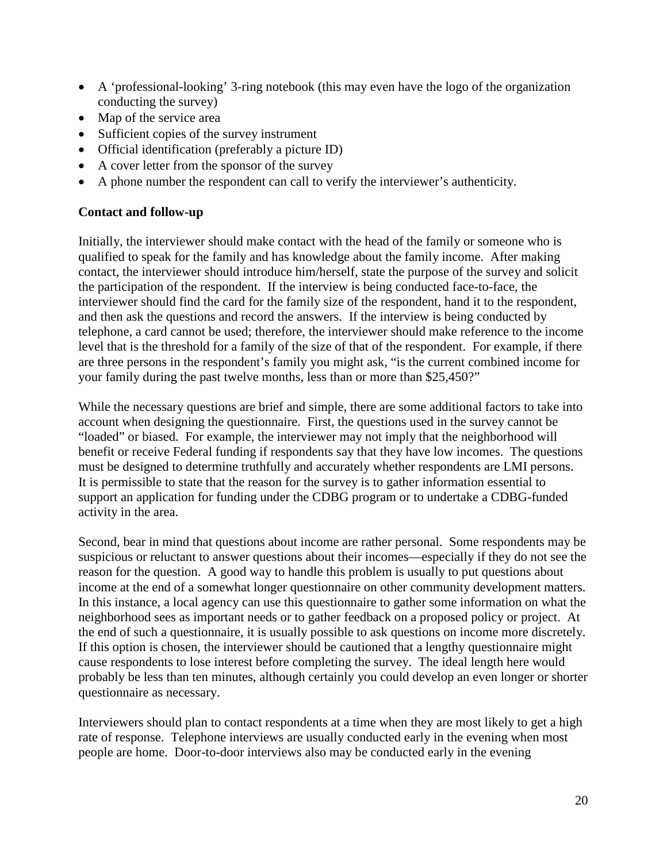- A 'professional-looking' 3-ring notebook (this may even have the logo of the organization conducting the survey)
- Map of the service area
- Sufficient copies of the survey instrument
- Official identification (preferably a picture ID)
- A cover letter from the sponsor of the survey
- A phone number the respondent can call to verify the interviewer's authenticity.

## **Contact and follow-up**

Initially, the interviewer should make contact with the head of the family or someone who is qualified to speak for the family and has knowledge about the family income. After making contact, the interviewer should introduce him/herself, state the purpose of the survey and solicit the participation of the respondent. If the interview is being conducted face-to-face, the interviewer should find the card for the family size of the respondent, hand it to the respondent, and then ask the questions and record the answers. If the interview is being conducted by telephone, a card cannot be used; therefore, the interviewer should make reference to the income level that is the threshold for a family of the size of that of the respondent. For example, if there are three persons in the respondent's family you might ask, "is the current combined income for your family during the past twelve months, less than or more than \$25,450?"

While the necessary questions are brief and simple, there are some additional factors to take into account when designing the questionnaire. First, the questions used in the survey cannot be "loaded" or biased. For example, the interviewer may not imply that the neighborhood will benefit or receive Federal funding if respondents say that they have low incomes. The questions must be designed to determine truthfully and accurately whether respondents are LMI persons. It is permissible to state that the reason for the survey is to gather information essential to support an application for funding under the CDBG program or to undertake a CDBG-funded activity in the area.

Second, bear in mind that questions about income are rather personal. Some respondents may be suspicious or reluctant to answer questions about their incomes—especially if they do not see the reason for the question. A good way to handle this problem is usually to put questions about income at the end of a somewhat longer questionnaire on other community development matters. In this instance, a local agency can use this questionnaire to gather some information on what the neighborhood sees as important needs or to gather feedback on a proposed policy or project. At the end of such a questionnaire, it is usually possible to ask questions on income more discretely. If this option is chosen, the interviewer should be cautioned that a lengthy questionnaire might cause respondents to lose interest before completing the survey. The ideal length here would probably be less than ten minutes, although certainly you could develop an even longer or shorter questionnaire as necessary.

Interviewers should plan to contact respondents at a time when they are most likely to get a high rate of response. Telephone interviews are usually conducted early in the evening when most people are home. Door-to-door interviews also may be conducted early in the evening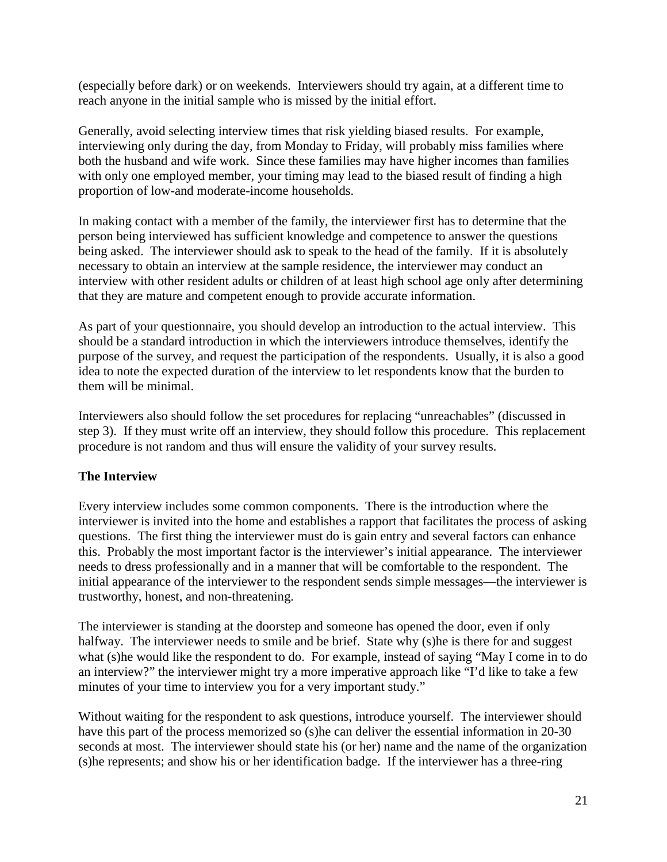(especially before dark) or on weekends. Interviewers should try again, at a different time to reach anyone in the initial sample who is missed by the initial effort.

Generally, avoid selecting interview times that risk yielding biased results. For example, interviewing only during the day, from Monday to Friday, will probably miss families where both the husband and wife work. Since these families may have higher incomes than families with only one employed member, your timing may lead to the biased result of finding a high proportion of low-and moderate-income households.

In making contact with a member of the family, the interviewer first has to determine that the person being interviewed has sufficient knowledge and competence to answer the questions being asked. The interviewer should ask to speak to the head of the family. If it is absolutely necessary to obtain an interview at the sample residence, the interviewer may conduct an interview with other resident adults or children of at least high school age only after determining that they are mature and competent enough to provide accurate information.

As part of your questionnaire, you should develop an introduction to the actual interview. This should be a standard introduction in which the interviewers introduce themselves, identify the purpose of the survey, and request the participation of the respondents. Usually, it is also a good idea to note the expected duration of the interview to let respondents know that the burden to them will be minimal.

Interviewers also should follow the set procedures for replacing "unreachables" (discussed in step 3). If they must write off an interview, they should follow this procedure. This replacement procedure is not random and thus will ensure the validity of your survey results.

## **The Interview**

Every interview includes some common components. There is the introduction where the interviewer is invited into the home and establishes a rapport that facilitates the process of asking questions. The first thing the interviewer must do is gain entry and several factors can enhance this. Probably the most important factor is the interviewer's initial appearance. The interviewer needs to dress professionally and in a manner that will be comfortable to the respondent. The initial appearance of the interviewer to the respondent sends simple messages—the interviewer is trustworthy, honest, and non-threatening.

The interviewer is standing at the doorstep and someone has opened the door, even if only halfway. The interviewer needs to smile and be brief. State why (s) he is there for and suggest what (s)he would like the respondent to do. For example, instead of saying "May I come in to do an interview?" the interviewer might try a more imperative approach like "I'd like to take a few minutes of your time to interview you for a very important study."

Without waiting for the respondent to ask questions, introduce yourself. The interviewer should have this part of the process memorized so (s)he can deliver the essential information in 20-30 seconds at most. The interviewer should state his (or her) name and the name of the organization (s)he represents; and show his or her identification badge. If the interviewer has a three-ring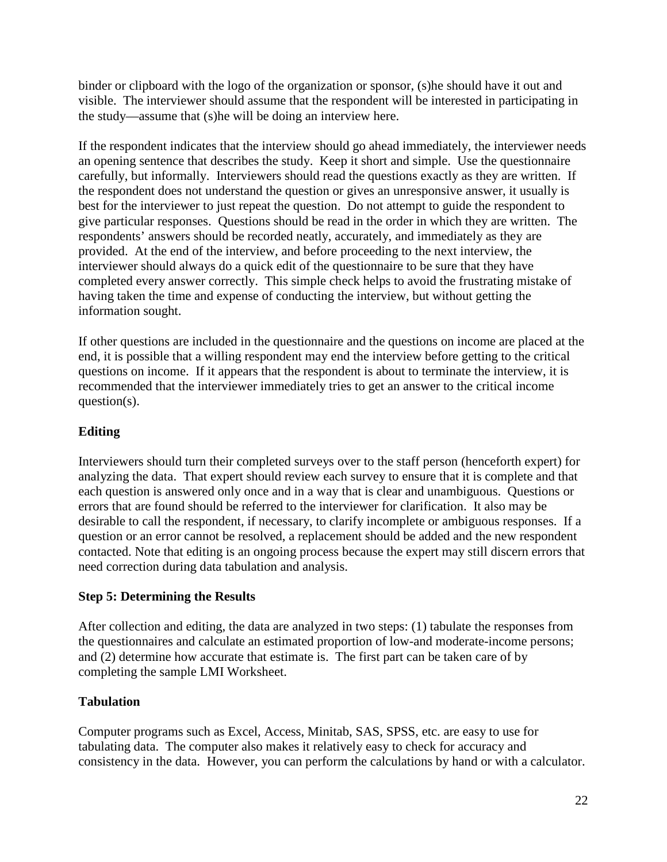binder or clipboard with the logo of the organization or sponsor, (s)he should have it out and visible. The interviewer should assume that the respondent will be interested in participating in the study—assume that (s)he will be doing an interview here.

If the respondent indicates that the interview should go ahead immediately, the interviewer needs an opening sentence that describes the study. Keep it short and simple. Use the questionnaire carefully, but informally. Interviewers should read the questions exactly as they are written. If the respondent does not understand the question or gives an unresponsive answer, it usually is best for the interviewer to just repeat the question. Do not attempt to guide the respondent to give particular responses. Questions should be read in the order in which they are written. The respondents' answers should be recorded neatly, accurately, and immediately as they are provided. At the end of the interview, and before proceeding to the next interview, the interviewer should always do a quick edit of the questionnaire to be sure that they have completed every answer correctly. This simple check helps to avoid the frustrating mistake of having taken the time and expense of conducting the interview, but without getting the information sought.

If other questions are included in the questionnaire and the questions on income are placed at the end, it is possible that a willing respondent may end the interview before getting to the critical questions on income. If it appears that the respondent is about to terminate the interview, it is recommended that the interviewer immediately tries to get an answer to the critical income question(s).

## **Editing**

Interviewers should turn their completed surveys over to the staff person (henceforth expert) for analyzing the data. That expert should review each survey to ensure that it is complete and that each question is answered only once and in a way that is clear and unambiguous. Questions or errors that are found should be referred to the interviewer for clarification. It also may be desirable to call the respondent, if necessary, to clarify incomplete or ambiguous responses. If a question or an error cannot be resolved, a replacement should be added and the new respondent contacted. Note that editing is an ongoing process because the expert may still discern errors that need correction during data tabulation and analysis.

## **Step 5: Determining the Results**

After collection and editing, the data are analyzed in two steps: (1) tabulate the responses from the questionnaires and calculate an estimated proportion of low-and moderate-income persons; and (2) determine how accurate that estimate is. The first part can be taken care of by completing the sample LMI Worksheet.

## **Tabulation**

Computer programs such as Excel, Access, Minitab, SAS, SPSS, etc. are easy to use for tabulating data. The computer also makes it relatively easy to check for accuracy and consistency in the data. However, you can perform the calculations by hand or with a calculator.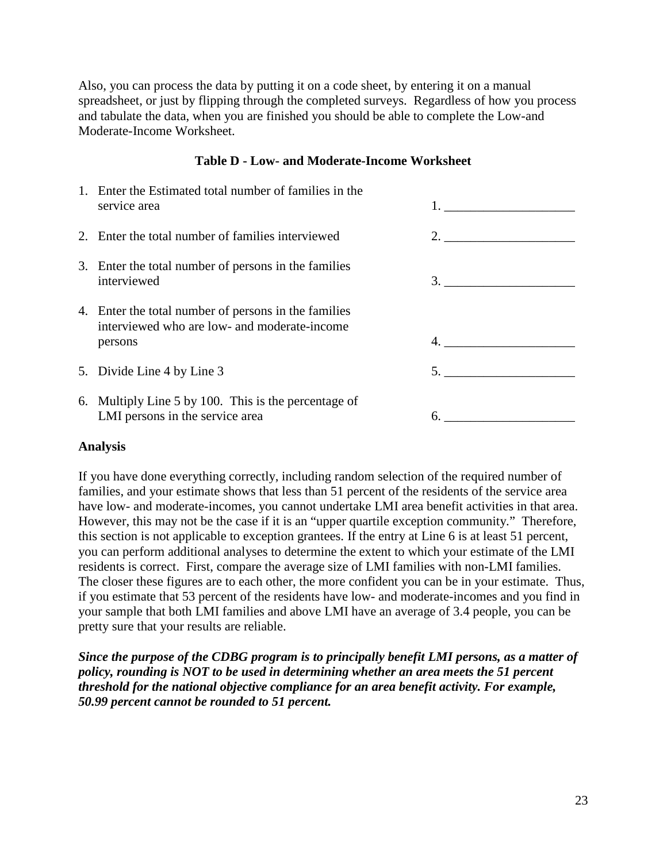Also, you can process the data by putting it on a code sheet, by entering it on a manual spreadsheet, or just by flipping through the completed surveys. Regardless of how you process and tabulate the data, when you are finished you should be able to complete the Low-and Moderate-Income Worksheet.

#### **Table D - Low- and Moderate-Income Worksheet**

| 1. Enter the Estimated total number of families in the<br>service area                                          |                      |
|-----------------------------------------------------------------------------------------------------------------|----------------------|
| 2. Enter the total number of families interviewed                                                               | 2. $\frac{1}{2}$ 2.  |
| 3. Enter the total number of persons in the families<br>interviewed                                             |                      |
| 4. Enter the total number of persons in the families<br>interviewed who are low- and moderate-income<br>persons |                      |
| 5. Divide Line 4 by Line 3                                                                                      | $5.$ $\qquad \qquad$ |
| 6. Multiply Line 5 by 100. This is the percentage of<br>LMI persons in the service area                         |                      |

#### **Analysis**

If you have done everything correctly, including random selection of the required number of families, and your estimate shows that less than 51 percent of the residents of the service area have low- and moderate-incomes, you cannot undertake LMI area benefit activities in that area. However, this may not be the case if it is an "upper quartile exception community." Therefore, this section is not applicable to exception grantees. If the entry at Line 6 is at least 51 percent, you can perform additional analyses to determine the extent to which your estimate of the LMI residents is correct. First, compare the average size of LMI families with non-LMI families. The closer these figures are to each other, the more confident you can be in your estimate. Thus, if you estimate that 53 percent of the residents have low- and moderate-incomes and you find in your sample that both LMI families and above LMI have an average of 3.4 people, you can be pretty sure that your results are reliable.

*Since the purpose of the CDBG program is to principally benefit LMI persons, as a matter of policy, rounding is NOT to be used in determining whether an area meets the 51 percent threshold for the national objective compliance for an area benefit activity. For example, 50.99 percent cannot be rounded to 51 percent.*